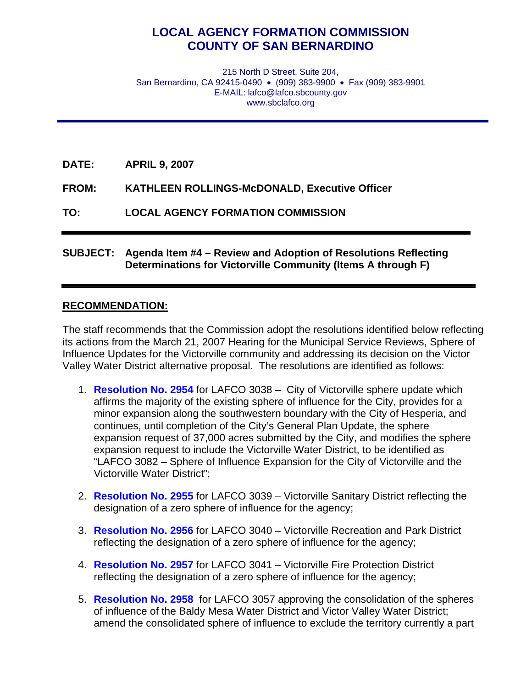## **LOCAL AGENCY FORMATION COMMISSION COUNTY OF SAN BERNARDINO**

215 North D Street, Suite 204, San Bernardino, CA 92415-0490 • (909) 383-9900 • Fax (909) 383-9901 E-MAIL: lafco@lafco.sbcounty.gov www.sbclafco.org

**DATE: APRIL 9, 2007** 

**FROM: KATHLEEN ROLLINGS-McDONALD, Executive Officer** 

**TO: LOCAL AGENCY FORMATION COMMISSION** 

## **SUBJECT: Agenda Item #4 – Review and Adoption of Resolutions Reflecting Determinations for Victorville Community (Items A through F)**

## **RECOMMENDATION:**

The staff recommends that the Commission adopt the resolutions identified below reflecting its actions from the March 21, 2007 Hearing for the Municipal Service Reviews, Sphere of Influence Updates for the Victorville community and addressing its decision on the Victor Valley Water District alternative proposal. The resolutions are identified as follows:

- 1. **[Resolution No. 2954](http://www.sbcounty.gov/lafco/items/apr2007/item_4a.pdf)** for LAFCO 3038 City of Victorville sphere update which affirms the majority of the existing sphere of influence for the City, provides for a minor expansion along the southwestern boundary with the City of Hesperia, and continues, until completion of the City's General Plan Update, the sphere expansion request of 37,000 acres submitted by the City, and modifies the sphere expansion request to include the Victorville Water District, to be identified as "LAFCO 3082 – Sphere of Influence Expansion for the City of Victorville and the Victorville Water District";
- 2. **[Resolution No. 2955](http://www.sbcounty.gov/lafco/items/apr2007/item_4b.pdf)** for LAFCO 3039 Victorville Sanitary District reflecting the designation of a zero sphere of influence for the agency;
- 3. **[Resolution No. 2956](http://www.sbcounty.gov/lafco/items/apr2007/item_4c.pdf)** for LAFCO 3040 Victorville Recreation and Park District reflecting the designation of a zero sphere of influence for the agency;
- 4. **[Resolution No. 2957](http://www.sbcounty.gov/lafco/items/apr2007/item_4d.pdf)** for LAFCO 3041 Victorville Fire Protection District reflecting the designation of a zero sphere of influence for the agency;
- 5. **[Resolution No. 2958](http://www.sbcounty.gov/lafco/items/apr2007/item_4e.pdf)** for LAFCO 3057 approving the consolidation of the spheres of influence of the Baldy Mesa Water District and Victor Valley Water District; amend the consolidated sphere of influence to exclude the territory currently a part